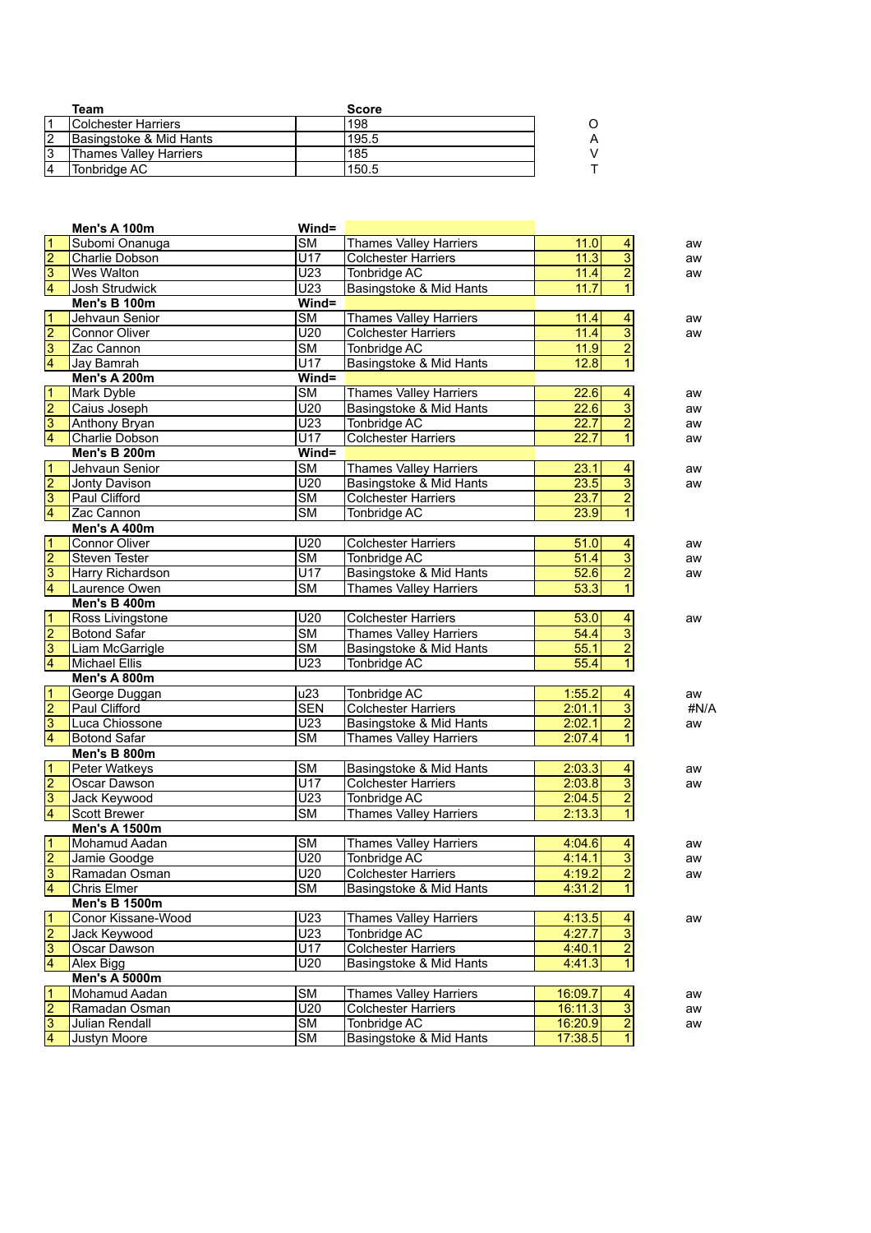|   | Team                          | <b>Score</b> |   |
|---|-------------------------------|--------------|---|
|   | <b>Colchester Harriers</b>    | 198          |   |
|   | Basingstoke & Mid Hants       | 195.5        | Α |
| 3 | <b>Thames Valley Harriers</b> | 185          |   |
| 4 | Tonbridge AC                  | 150.5        |   |

|                                           | Men's A 100m                   | Wind=                  |                                                          |                  |                         |      |
|-------------------------------------------|--------------------------------|------------------------|----------------------------------------------------------|------------------|-------------------------|------|
|                                           | Subomi Onanuga                 | $\overline{\text{SM}}$ | <b>Thames Valley Harriers</b>                            | 11.0             | 4                       | aw   |
|                                           | Charlie Dobson                 | U17                    | <b>Colchester Harriers</b>                               | 11.3             | $\overline{3}$          | aw   |
|                                           | <b>Wes Walton</b>              | U <sub>23</sub>        | Tonbridge AC                                             | 11.4             | $\overline{2}$          | aw   |
| $\frac{1}{2}$ $\frac{1}{3}$ $\frac{1}{4}$ | Josh Strudwick                 | U <sub>23</sub>        | Basingstoke & Mid Hants                                  | 11.7             | $\overline{1}$          |      |
|                                           | Men's B 100m                   | Wind=                  |                                                          |                  |                         |      |
|                                           | Jehvaun Senior                 | $\overline{\text{SM}}$ | <b>Thames Valley Harriers</b>                            | 11.4             | $\overline{4}$          | aw   |
| $\frac{1}{2}$ $\frac{2}{3}$ $\frac{3}{4}$ | <b>Connor Oliver</b>           | U20                    | <b>Colchester Harriers</b>                               | 11.4             | $\overline{3}$          | aw   |
|                                           | Zac Cannon                     | $\overline{\text{SM}}$ | Tonbridge AC                                             | 11.9             | $\overline{2}$          |      |
|                                           | Jay Bamrah                     | U17                    | Basingstoke & Mid Hants                                  | 12.8             | $\overline{1}$          |      |
|                                           | <b>Men's A 200m</b>            | Wind=                  |                                                          |                  |                         |      |
| $\frac{1}{2}$ $\frac{2}{3}$ $\frac{3}{4}$ | <b>Mark Dyble</b>              | $\overline{\text{SM}}$ | <b>Thames Valley Harriers</b>                            | 22.6             | 4                       | aw   |
|                                           | Caius Joseph                   | U20                    | Basingstoke & Mid Hants                                  | 22.6             | $\overline{3}$          | aw   |
|                                           | Anthony Bryan                  | $\overline{U23}$       | Tonbridge AC                                             | 22.7             | $\overline{2}$          | aw   |
|                                           | Charlie Dobson                 | $\overline{U17}$       | <b>Colchester Harriers</b>                               | 22.7             | $\overline{1}$          | aw   |
|                                           | Men's B 200m                   | Wind=                  |                                                          |                  |                         |      |
| $\frac{1}{2}$ $\frac{3}{4}$               | Jehvaun Senior                 | $\overline{\text{SM}}$ | <b>Thames Valley Harriers</b>                            | 23.1             | $\frac{4}{1}$           | aw   |
|                                           | Jonty Davison                  | U20                    | Basingstoke & Mid Hants                                  | 23.5             | $\overline{3}$          | aw   |
|                                           | Paul Clifford                  | $\overline{\text{SM}}$ | <b>Colchester Harriers</b>                               | 23.7             | $\overline{2}$          |      |
|                                           | Zac Cannon                     | $\overline{\text{SM}}$ | <b>Tonbridge AC</b>                                      | 23.9             | $\overline{1}$          |      |
|                                           | Men's A 400m                   |                        |                                                          |                  |                         |      |
| $\frac{1}{2}$ $\frac{1}{3}$               | <b>Connor Oliver</b>           | U20                    | <b>Colchester Harriers</b>                               | 51.0             | 4                       | aw   |
|                                           | <b>Steven Tester</b>           | $\overline{\text{SM}}$ | Tonbridge AC                                             | 51.4             | $\frac{3}{2}$           | aw   |
|                                           | Harry Richardson               | $\overline{U17}$       | Basingstoke & Mid Hants                                  | 52.6             |                         | aw   |
|                                           | Laurence Owen                  | $\overline{\text{SM}}$ | <b>Thames Valley Harriers</b>                            | 53.3             | $\overline{1}$          |      |
|                                           | Men's B 400m                   |                        |                                                          |                  |                         |      |
| $\frac{1}{2}$ $\frac{2}{3}$               | Ross Livingstone               | U20                    | <b>Colchester Harriers</b>                               | 53.0             | 4                       | aw   |
|                                           | <b>Botond Safar</b>            | $\overline{\text{SM}}$ | <b>Thames Valley Harriers</b>                            | 54.4             | $\overline{3}$          |      |
|                                           | Liam McGarrigle                | $\overline{\text{SM}}$ | Basingstoke & Mid Hants                                  | 55.1             | $\overline{2}$          |      |
|                                           | <b>Michael Ellis</b>           | U <sub>23</sub>        | Tonbridge AC                                             | 55.4             | $\mathbf{1}$            |      |
|                                           | Men's A 800m                   |                        |                                                          |                  |                         |      |
| $\frac{1}{2}$ $\frac{2}{3}$               | George Duggan<br>Paul Clifford | u23<br><b>SEN</b>      | Tonbridge AC<br><b>Colchester Harriers</b>               | 1:55.2<br>2:01.1 | 4<br>$\overline{3}$     | aw   |
|                                           | Luca Chiossone                 | U <sub>23</sub>        |                                                          | 2:02.1           | $\overline{2}$          | #N/A |
|                                           | <b>Botond Safar</b>            | $\overline{\text{SM}}$ | Basingstoke & Mid Hants<br><b>Thames Valley Harriers</b> | 2:07.4           | $\mathbf{1}$            | aw   |
|                                           | Men's B 800m                   |                        |                                                          |                  |                         |      |
|                                           | Peter Watkeys                  | $\overline{\text{SM}}$ | Basingstoke & Mid Hants                                  | 2:03.3           | $\overline{4}$          | aw   |
| $\frac{1}{2}$ $\frac{2}{3}$               | Oscar Dawson                   | U17                    | <b>Colchester Harriers</b>                               | 2:03.8           | $\overline{3}$          | aw   |
|                                           | Jack Keywood                   | U <sub>23</sub>        | <b>Tonbridge AC</b>                                      | 2:04.5           | $\overline{2}$          |      |
|                                           | <b>Scott Brewer</b>            | $\overline{\text{SM}}$ | <b>Thames Valley Harriers</b>                            | 2:13.3           | $\overline{1}$          |      |
|                                           | <b>Men's A 1500m</b>           |                        |                                                          |                  |                         |      |
|                                           | Mohamud Aadan                  | <b>SM</b>              | <b>Thames Valley Harriers</b>                            | 4:04.6           | $\overline{4}$          | aw   |
| $\frac{1}{2}$ $\frac{2}{3}$ $\frac{4}{4}$ | Jamie Goodge                   | U20                    | Tonbridge AC                                             | 4:14.1           | $\overline{3}$          | aw   |
|                                           | Ramadan Osman                  | U20                    | <b>Colchester Harriers</b>                               | 4:19.2           | $\overline{2}$          | aw   |
|                                           | Chris Elmer                    | $\overline{\text{SM}}$ | Basingstoke & Mid Hants                                  | 4:31.2           | $\overline{1}$          |      |
|                                           | <b>Men's B 1500m</b>           |                        |                                                          |                  |                         |      |
|                                           | Conor Kissane-Wood             | $\overline{U23}$       | <b>Thames Valley Harriers</b>                            | 4:13.5           | $\overline{4}$          | aw   |
|                                           | Jack Keywood                   | U <sub>23</sub>        | Tonbridge AC                                             | 4:27.7           | $\overline{3}$          |      |
| $\frac{1}{2}$ $\frac{2}{3}$ $\frac{3}{4}$ | Oscar Dawson                   | U17                    | <b>Colchester Harriers</b>                               | 4:40.1           | $\overline{2}$          |      |
|                                           | Alex Bigg                      | U20                    | Basingstoke & Mid Hants                                  | 4:41.3           | $\overline{1}$          |      |
|                                           | <b>Men's A 5000m</b>           |                        |                                                          |                  |                         |      |
|                                           | Mohamud Aadan                  | <b>SM</b>              | <b>Thames Valley Harriers</b>                            | 16:09.7          | $\overline{\mathbf{4}}$ | aw   |
| $\frac{1}{2}$ $\frac{2}{3}$               | Ramadan Osman                  | U20                    | <b>Colchester Harriers</b>                               | 16:11.3          | $\overline{3}$          | aw   |
|                                           | Julian Rendall                 | <b>SM</b>              | Tonbridge AC                                             | 16:20.9          | $\overline{2}$          | aw   |
|                                           | Justyn Moore                   | $\overline{\text{SM}}$ | Basingstoke & Mid Hants                                  | 17:38.5          | $\overline{1}$          |      |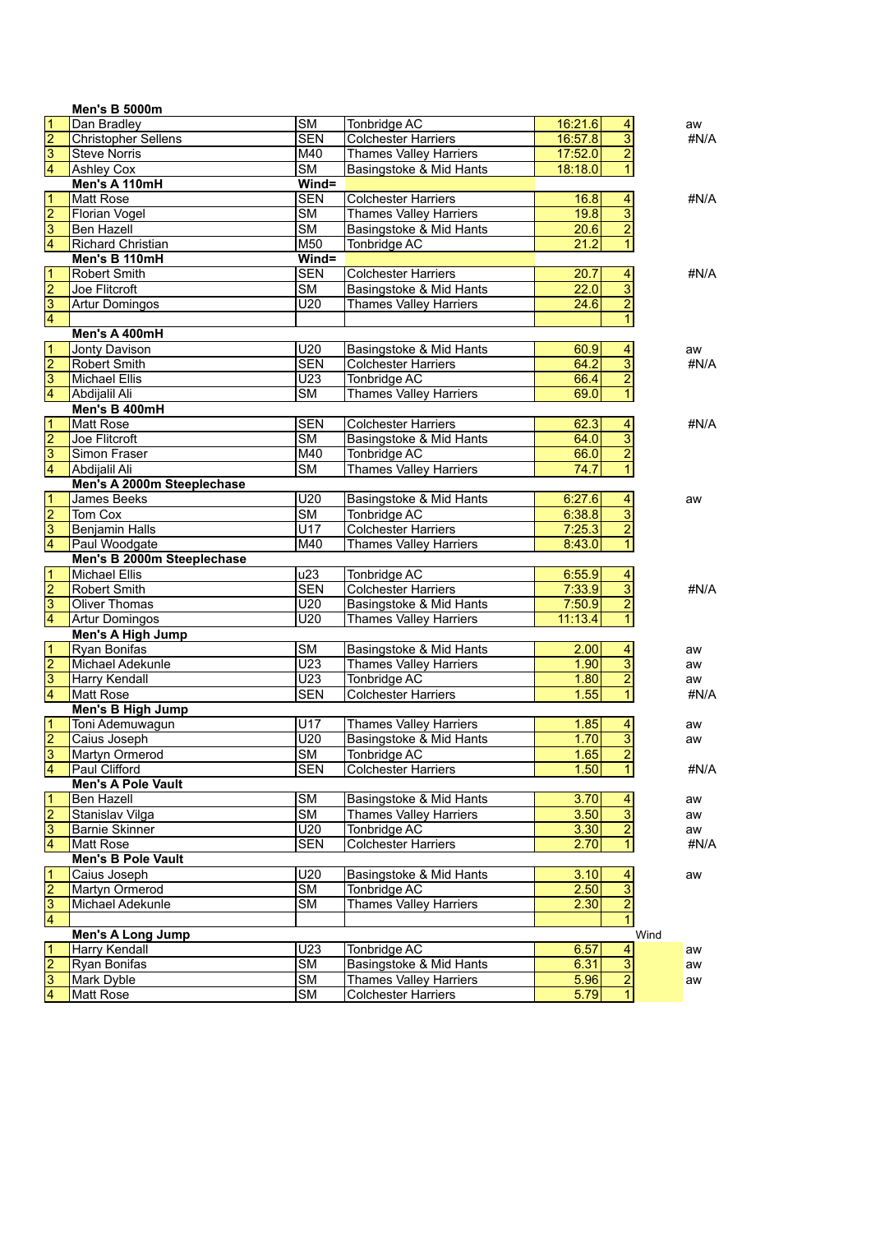|                         | <b>Men's B 5000m</b>       |                        |                               |                   |                           |      |
|-------------------------|----------------------------|------------------------|-------------------------------|-------------------|---------------------------|------|
| 1                       | Dan Bradley                | $\overline{\text{SM}}$ | Tonbridge AC                  | 16:21.6           | $\vert 4 \vert$           | aw   |
| $\overline{2}$          | <b>Christopher Sellens</b> | <b>SEN</b>             | <b>Colchester Harriers</b>    | 16:57.8           | $\overline{3}$            | #N/A |
| 3                       | <b>Steve Norris</b>        | M40                    | <b>Thames Valley Harriers</b> | 17:52.0           | $\overline{2}$            |      |
| 4                       | <b>Ashley Cox</b>          | $\overline{\text{SM}}$ | Basingstoke & Mid Hants       | 18:18.0           | $\overline{1}$            |      |
|                         | Men's A 110mH              | Wind=                  |                               |                   |                           |      |
| 1                       | <b>Matt Rose</b>           | <b>SEN</b>             | <b>Colchester Harriers</b>    | 16.8              | $\overline{4}$            | #N/A |
| $\overline{2}$          | <b>Florian Vogel</b>       | $\overline{\text{SM}}$ | <b>Thames Valley Harriers</b> | 19.8              | $\overline{3}$            |      |
| $\overline{\mathbf{3}}$ | <b>Ben Hazell</b>          | $\overline{\text{SM}}$ | Basingstoke & Mid Hants       | 20.6              | $\overline{2}$            |      |
| 4                       | Richard Christian          | M50                    | Tonbridge AC                  | 21.2              | $\overline{1}$            |      |
|                         | Men's B 110mH              | $Wind =$               |                               |                   |                           |      |
| 1                       | <b>Robert Smith</b>        | <b>SEN</b>             | <b>Colchester Harriers</b>    | 20.7              | $\overline{\mathbf{4}}$   | #N/A |
| $\overline{\mathbf{c}}$ | Joe Flitcroft              | $\overline{\text{SM}}$ | Basingstoke & Mid Hants       | 22.0              | $\overline{3}$            |      |
| $\overline{3}$          | <b>Artur Domingos</b>      | U20                    | <b>Thames Valley Harriers</b> | 24.6              | $\overline{2}$            |      |
| 4                       |                            |                        |                               |                   | $\mathbf{1}$              |      |
|                         | Men's A 400mH              |                        |                               |                   |                           |      |
| 1                       | Jonty Davison              | U20                    | Basingstoke & Mid Hants       | 60.9              | $\overline{4}$            | aw   |
| $\overline{2}$          | <b>Robert Smith</b>        | <b>SEN</b>             | <b>Colchester Harriers</b>    | 64.2              | $\overline{\overline{3}}$ | #N/A |
| 3                       | Michael Ellis              | $\overline{U23}$       | Tonbridge AC                  | 66.4              | $\overline{2}$            |      |
| 4                       | Abdijalil Ali              | $\overline{\text{SM}}$ | <b>Thames Valley Harriers</b> | 69.0              | $\overline{1}$            |      |
|                         | Men's B 400mH              |                        |                               |                   |                           |      |
| 1                       | Matt Rose                  | <b>SEN</b>             | <b>Colchester Harriers</b>    | 62.3              | $\overline{4}$            | #N/A |
| $\overline{2}$          | Joe Flitcroft              | $\overline{\text{SM}}$ | Basingstoke & Mid Hants       | 64.0              | $\overline{3}$            |      |
| $\overline{\mathbf{3}}$ | Simon Fraser               | M40                    | Tonbridge AC                  | 66.0              | $\overline{2}$            |      |
| 4                       | Abdijalil Ali              | $\overline{\text{SM}}$ | <b>Thames Valley Harriers</b> | 74.7              | $\mathbf{1}$              |      |
|                         | Men's A 2000m Steeplechase |                        |                               |                   |                           |      |
| 1                       | James Beeks                | U20                    | Basingstoke & Mid Hants       | 6:27.6            | $\overline{4}$            | aw   |
| $\overline{2}$          | Tom Cox                    | $\overline{\text{SM}}$ | Tonbridge AC                  | 6:38.8            | $\overline{3}$            |      |
| $\overline{3}$          | <b>Benjamin Halls</b>      | U17                    | <b>Colchester Harriers</b>    | 7:25.3            | $\overline{2}$            |      |
| 4                       | Paul Woodgate              | M40                    | <b>Thames Valley Harriers</b> | 8:43.0            | $\overline{1}$            |      |
|                         | Men's B 2000m Steeplechase |                        |                               |                   |                           |      |
| 1                       | <b>Michael Ellis</b>       | u23                    | Tonbridge AC                  | 6:55.9            | $\overline{4}$            |      |
| $\overline{2}$          | Robert Smith               | <b>SEN</b>             | <b>Colchester Harriers</b>    | 7:33.9            | $\overline{3}$            | #N/A |
| $\overline{3}$          | <b>Oliver Thomas</b>       | U20                    | Basingstoke & Mid Hants       | 7:50.9            | $\overline{2}$            |      |
| 4                       | <b>Artur Domingos</b>      | $\overline{U20}$       | <b>Thames Valley Harriers</b> | 11:13.4           | $\overline{1}$            |      |
|                         | Men's A High Jump          |                        |                               |                   |                           |      |
| $\mathbf{1}$            | Ryan Bonifas               | $\overline{\text{SM}}$ | Basingstoke & Mid Hants       | 2.00              | $\overline{\mathbf{4}}$   | aw   |
| $\overline{2}$          | Michael Adekunle           | $\overline{U23}$       | <b>Thames Valley Harriers</b> | 1.90              | $\overline{3}$            | aw   |
| $\overline{3}$          | <b>Harry Kendall</b>       | U23                    | Tonbridge AC                  | 1.80              | $\overline{2}$            | aw   |
| 4                       | <b>Matt Rose</b>           | <b>SEN</b>             | <b>Colchester Harriers</b>    | 1.55              | $\overline{1}$            | #N/A |
|                         | Men's B High Jump          |                        |                               |                   |                           |      |
| $\overline{1}$          | Toni Ademuwagun            | U17                    | Thames Valley Harriers        | 1.85              | 4                         | aw   |
| $\overline{2}$          | Caius Joseph               | U20                    | Basingstoke & Mid Hants       | 1.70              | $\overline{3}$            | aw   |
| $\overline{3}$          | <b>Martyn Ormerod</b>      | $\overline{\text{SM}}$ | Tonbridge AC                  | 1.65              | $\overline{2}$            |      |
| 4                       | Paul Clifford              | <b>SEN</b>             | <b>Colchester Harriers</b>    | 1.50              | $\mathbf{1}$              | #N/A |
|                         | <b>Men's A Pole Vault</b>  |                        |                               |                   |                           |      |
| $\vert$ 1               | Ben Hazell                 | $\overline{\text{SM}}$ | Basingstoke & Mid Hants       | $\overline{3.70}$ | $\overline{a}$            | aw   |
| $\overline{c}$          | Stanislav Vilga            | $\overline{\text{SM}}$ | <b>Thames Valley Harriers</b> | 3.50              | $\overline{3}$            | aw   |
| 3                       | <b>Barnie Skinner</b>      | U20                    | Tonbridge AC                  | 3.30              | $\overline{2}$            | aw   |
| 4                       | Matt Rose                  | <b>SEN</b>             | <b>Colchester Harriers</b>    | 2.70              | $\overline{1}$            | #N/A |
|                         | <b>Men's B Pole Vault</b>  |                        |                               |                   |                           |      |
| $\overline{1}$          | Caius Joseph               | U20                    | Basingstoke & Mid Hants       | 3.10              | $\overline{4}$            | aw   |
| $\overline{2}$          | Martyn Ormerod             | $\overline{\text{SM}}$ | Tonbridge AC                  | 2.50              | $\overline{3}$            |      |
| 3                       | Michael Adekunle           | <b>SM</b>              | <b>Thames Valley Harriers</b> | 2.30              | $\overline{2}$            |      |
| 4                       |                            |                        |                               |                   | $\overline{1}$            |      |
|                         | <b>Men's A Long Jump</b>   |                        |                               |                   |                           | Wind |
| 1                       | Harry Kendall              | U23                    | Tonbridge AC                  | 6.57              | $\overline{\mathbf{4}}$   | aw   |
| $\overline{2}$          | Ryan Bonifas               | $\overline{\text{SM}}$ | Basingstoke & Mid Hants       | 6.31              | $\overline{3}$            | aw   |
| 3                       | Mark Dyble                 | $\overline{\text{SM}}$ | <b>Thames Valley Harriers</b> | 5.96              | $\overline{2}$            | aw   |
| 4                       | Matt Rose                  | SM                     | <b>Colchester Harriers</b>    | 5.79              | $\overline{1}$            |      |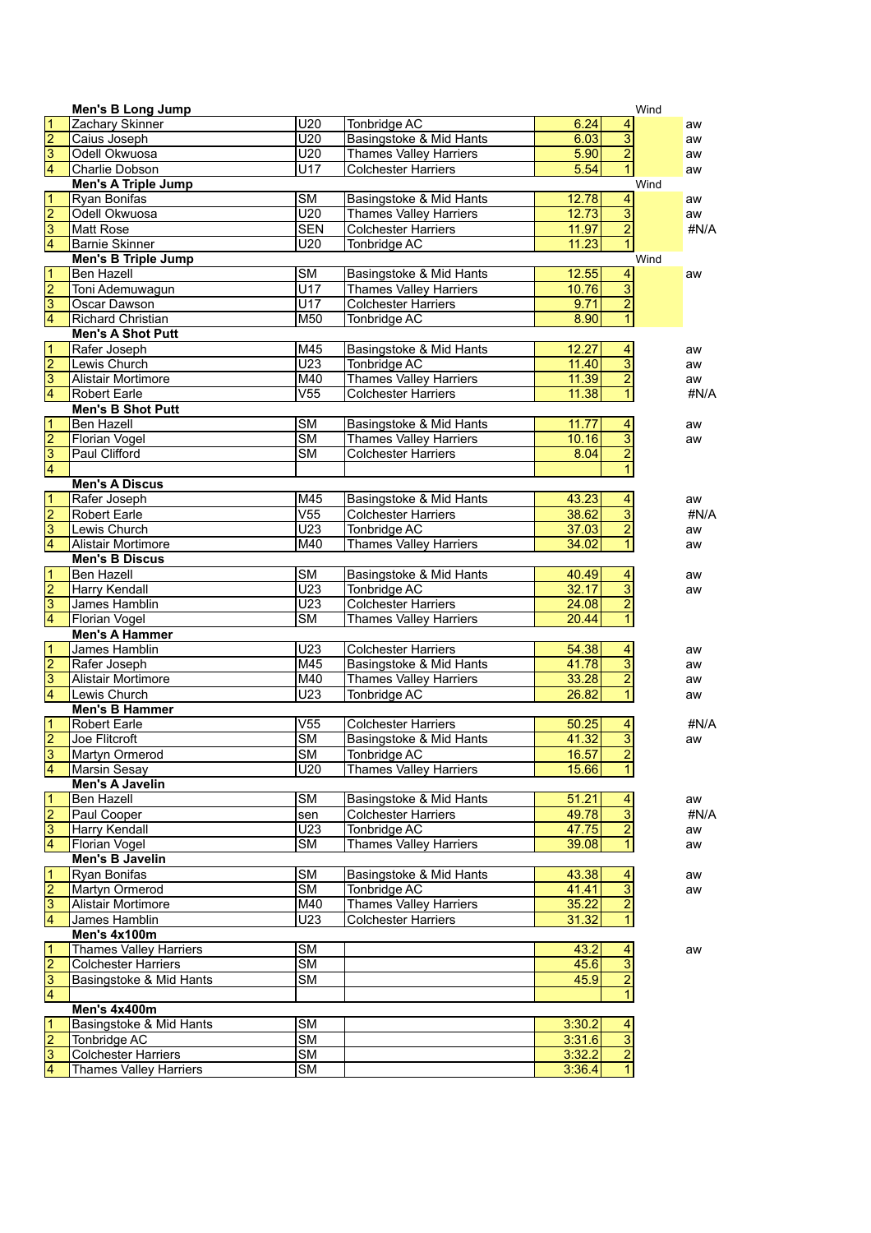|                                           | <b>Men's B Long Jump</b>      |                        |                               |        |                         | Wind |
|-------------------------------------------|-------------------------------|------------------------|-------------------------------|--------|-------------------------|------|
| $\frac{1}{2}$ $\frac{1}{3}$               | Zachary Skinner               | U20                    | Tonbridge AC                  | 6.24   | $\overline{\mathbf{r}}$ | aw   |
|                                           | Caius Joseph                  | $\overline{U20}$       | Basingstoke & Mid Hants       | 6.03   | $\overline{3}$          | aw   |
|                                           | Odell Okwuosa                 | U20                    | <b>Thames Valley Harriers</b> | 5.90   | $\overline{2}$          | aw   |
|                                           | Charlie Dobson                | U17                    | <b>Colchester Harriers</b>    | 5.54   | $\overline{1}$          | aw   |
|                                           | <b>Men's A Triple Jump</b>    |                        |                               |        |                         | Wind |
| $\frac{1}{2}$ $\frac{2}{3}$ $\frac{1}{4}$ | Ryan Bonifas                  | $\overline{\text{SM}}$ | Basingstoke & Mid Hants       | 12.78  | $\overline{\mathbf{4}}$ | aw   |
|                                           | Odell Okwuosa                 | $\overline{U20}$       | <b>Thames Valley Harriers</b> | 12.73  | $\frac{1}{2}$           | aw   |
|                                           | <b>Matt Rose</b>              | <b>SEN</b>             | <b>Colchester Harriers</b>    | 11.97  |                         | #N/A |
|                                           | <b>Barnie Skinner</b>         | U20                    | Tonbridge AC                  | 11.23  | $\overline{1}$          |      |
|                                           | <b>Men's B Triple Jump</b>    |                        |                               |        |                         | Wind |
| $\frac{1}{2}$ $\frac{2}{3}$ $\frac{1}{4}$ | Ben Hazell                    | $\overline{\text{SM}}$ | Basingstoke & Mid Hants       | 12.55  | $\overline{4}$          | aw   |
|                                           | Toni Ademuwagun               | U17                    | Thames Valley Harriers        | 10.76  | $\frac{1}{2}$           |      |
|                                           | Oscar Dawson                  | $\overline{U17}$       | <b>Colchester Harriers</b>    | 9.71   |                         |      |
|                                           | Richard Christian             | M50                    | <b>Tonbridge AC</b>           | 8.90   | $\overline{1}$          |      |
|                                           | <b>Men's A Shot Putt</b>      |                        |                               |        |                         |      |
| $\frac{1}{2}$ $\frac{2}{3}$ $\frac{3}{4}$ | Rafer Joseph                  | M45                    | Basingstoke & Mid Hants       | 12.27  | 4                       | aw   |
|                                           | Lewis Church                  | $\overline{U23}$       | Tonbridge AC                  | 11.40  | $\overline{3}$          | aw   |
|                                           | Alistair Mortimore            | M40                    | <b>Thames Valley Harriers</b> | 11.39  | $\overline{2}$          | aw   |
|                                           | <b>Robert Earle</b>           | $\overline{V55}$       | <b>Colchester Harriers</b>    | 11.38  | $\overline{1}$          | #N/A |
|                                           | <b>Men's B Shot Putt</b>      |                        |                               |        |                         |      |
| $\frac{1}{2}$ $\frac{2}{3}$ $\frac{1}{4}$ | <b>Ben Hazell</b>             | $\overline{\text{SM}}$ | Basingstoke & Mid Hants       | 11.77  | $\overline{4}$          | aw   |
|                                           | <b>Florian Vogel</b>          | $\overline{\text{SM}}$ | <b>Thames Valley Harriers</b> | 10.16  | $\frac{3}{2}$           | aw   |
|                                           | Paul Clifford                 | $\overline{\text{SM}}$ | <b>Colchester Harriers</b>    | 8.04   |                         |      |
|                                           |                               |                        |                               |        | $\overline{1}$          |      |
|                                           | <b>Men's A Discus</b>         |                        |                               |        |                         |      |
| $\frac{1}{2}$ $\frac{2}{3}$ $\frac{1}{4}$ | Rafer Joseph                  | M45                    | Basingstoke & Mid Hants       | 43.23  | $\overline{\mathbf{4}}$ | aw   |
|                                           | <b>Robert Earle</b>           | $\overline{V55}$       | <b>Colchester Harriers</b>    | 38.62  | $\overline{3}$          | #N/A |
|                                           | Lewis Church                  | U <sub>23</sub>        | Tonbridge AC                  | 37.03  | $\overline{2}$          | aw   |
|                                           | Alistair Mortimore            | M40                    | <b>Thames Valley Harriers</b> | 34.02  | $\overline{1}$          | aw   |
|                                           | <b>Men's B Discus</b>         |                        |                               |        |                         |      |
|                                           | Ben Hazell                    | $\overline{\text{SM}}$ | Basingstoke & Mid Hants       | 40.49  | 4                       | aw   |
|                                           | Harry Kendall                 | $\overline{U23}$       | Tonbridge AC                  | 32.17  |                         | aw   |
| $\frac{1}{2}$ $\frac{2}{3}$ $\frac{1}{4}$ | James Hamblin                 | U <sub>23</sub>        | <b>Colchester Harriers</b>    | 24.08  | $\frac{3}{2}$           |      |
|                                           | <b>Florian Vogel</b>          | $\overline{\text{SM}}$ | <b>Thames Valley Harriers</b> | 20.44  | $\overline{1}$          |      |
|                                           | <b>Men's A Hammer</b>         |                        |                               |        |                         |      |
| $\frac{1}{2}$ $\frac{2}{3}$ $\frac{1}{4}$ | James Hamblin                 | U <sub>23</sub>        | <b>Colchester Harriers</b>    | 54.38  | $\overline{\mathbf{4}}$ | aw   |
|                                           | Rafer Joseph                  | M45                    | Basingstoke & Mid Hants       | 41.78  | $\overline{3}$          | aw   |
|                                           | Alistair Mortimore            | M40                    | <b>Thames Valley Harriers</b> | 33.28  | $\overline{2}$          | aw   |
|                                           | Lewis Church                  | U <sub>23</sub>        | Tonbridge AC                  | 26.82  | $\overline{1}$          | aw   |
|                                           | <b>Men's B Hammer</b>         |                        |                               |        |                         |      |
| $\frac{1}{2}$ $\frac{2}{3}$               | <b>Robert Earle</b>           | $\overline{V55}$       | <b>Colchester Harriers</b>    | 50.25  | 4                       | #N/A |
|                                           | Joe Flitcroft                 | $\overline{\text{SM}}$ | Basingstoke & Mid Hants       | 41.32  | 3                       | aw   |
|                                           | Martyn Ormerod                | $\overline{\text{SM}}$ | <b>Tonbridge AC</b>           | 16.57  | $\overline{2}$          |      |
| $\overline{4}$                            | Marsin Sesay                  | U20                    | <b>Thames Valley Harriers</b> | 15.66  | 1                       |      |
|                                           | Men's A Javelin               |                        |                               |        |                         |      |
| $\frac{1}{2}$ $\frac{2}{3}$ $\frac{1}{4}$ | Ben Hazell                    | $\overline{\text{SM}}$ | Basingstoke & Mid Hants       | 51.21  | $\frac{4}{3}$           | aw   |
|                                           | Paul Cooper                   | sen                    | <b>Colchester Harriers</b>    | 49.78  |                         | #N/A |
|                                           | Harry Kendall                 | U <sub>23</sub>        | Tonbridge AC                  | 47.75  | $\overline{2}$          | aw   |
|                                           | <b>Florian Vogel</b>          | $\overline{\text{SM}}$ | <b>Thames Valley Harriers</b> | 39.08  | $\mathbf{1}$            | aw   |
|                                           | Men's B Javelin               |                        |                               |        |                         |      |
|                                           | Ryan Bonifas                  | $\overline{\text{SM}}$ | Basingstoke & Mid Hants       | 43.38  | $\overline{4}$          | aw   |
|                                           | Martyn Ormerod                | $\overline{\text{SM}}$ | <b>Tonbridge AC</b>           | 41.41  | $\overline{3}$          | aw   |
| $\frac{1}{2}$ $\frac{2}{3}$ $\frac{1}{4}$ | Alistair Mortimore            | M40                    | <b>Thames Valley Harriers</b> | 35.22  | $\overline{2}$          |      |
|                                           | James Hamblin                 | U <sub>23</sub>        | <b>Colchester Harriers</b>    | 31.32  | $\overline{1}$          |      |
|                                           | Men's 4x100m                  |                        |                               |        |                         |      |
| $\frac{1}{2}$ $\frac{2}{3}$ $\frac{1}{4}$ | <b>Thames Valley Harriers</b> | <b>SM</b>              |                               | 43.2   | 4                       | aw   |
|                                           | <b>Colchester Harriers</b>    | $\overline{\text{SM}}$ |                               | 45.6   | $\overline{3}$          |      |
|                                           | Basingstoke & Mid Hants       | $\overline{\text{SM}}$ |                               | 45.9   | $\frac{2}{1}$           |      |
|                                           |                               |                        |                               |        |                         |      |
|                                           | Men's 4x400m                  |                        |                               |        |                         |      |
|                                           | Basingstoke & Mid Hants       | $\overline{\text{SM}}$ |                               | 3:30.2 | 4                       |      |
|                                           | Tonbridge AC                  | $\overline{\text{SM}}$ |                               | 3:31.6 | $\overline{3}$          |      |
| $\frac{1}{2}$ $\frac{2}{3}$ $\frac{1}{4}$ | <b>Colchester Harriers</b>    | <b>SM</b>              |                               | 3:32.2 | $\overline{2}$          |      |
|                                           | Thames Valley Harriers        | $\overline{\text{SM}}$ |                               | 3:36.4 | $\overline{1}$          |      |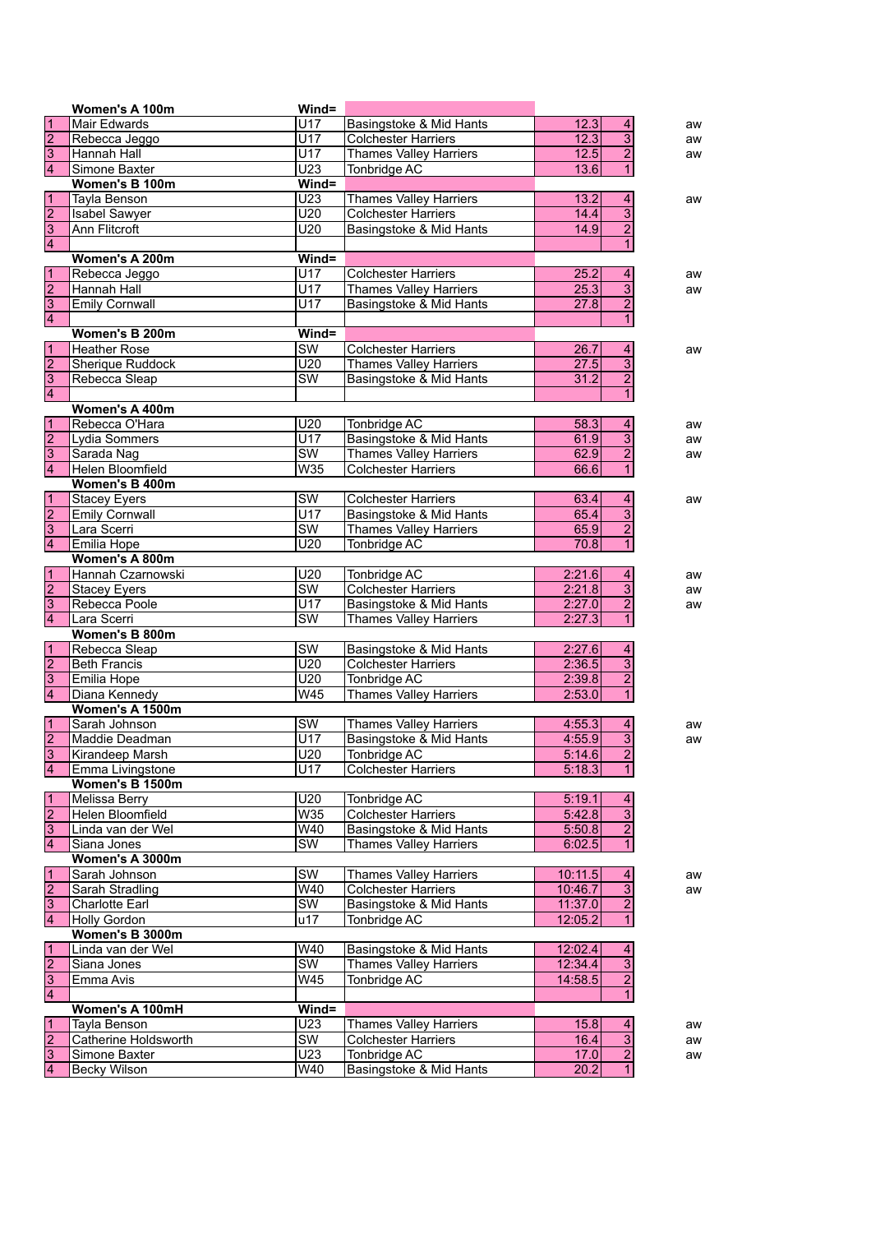|                                           | Women's A 100m          | $Wind =$               |                                            |         |                           |    |
|-------------------------------------------|-------------------------|------------------------|--------------------------------------------|---------|---------------------------|----|
|                                           | Mair Edwards            | U17                    | Basingstoke & Mid Hants                    | 12.3    | 4                         | aw |
| $\frac{1}{2}$ $\frac{3}{4}$               | Rebecca Jeggo           | $\overline{U17}$       | <b>Colchester Harriers</b>                 | 12.3    | $\overline{\overline{3}}$ | aw |
|                                           | Hannah Hall             | U17                    | <b>Thames Valley Harriers</b>              | 12.5    | $\overline{2}$            | aw |
|                                           | Simone Baxter           | U23                    | Tonbridge AC                               | 13.6    | $\mathbf{1}$              |    |
|                                           | Women's B 100m          | Wind=                  |                                            |         |                           |    |
|                                           | <b>Tayla Benson</b>     | U <sub>23</sub>        | <b>Thames Valley Harriers</b>              | 13.2    | $\overline{4}$            | aw |
|                                           | <b>Isabel Sawyer</b>    | U20                    | <b>Colchester Harriers</b>                 | 14.4    | $\overline{3}$            |    |
|                                           | <b>Ann Flitcroft</b>    | U20                    | Basingstoke & Mid Hants                    | 14.9    | $\overline{2}$            |    |
| $\frac{1}{2}$ $\frac{2}{3}$ $\frac{1}{4}$ |                         |                        |                                            |         | $\mathbf{1}$              |    |
|                                           | Women's A 200m          | Wind=                  |                                            |         |                           |    |
|                                           | Rebecca Jeggo           | U17                    | <b>Colchester Harriers</b>                 | 25.2    | 4                         | aw |
| $\frac{1}{2}$ $\frac{2}{3}$ $\frac{3}{4}$ | Hannah Hall             | $\overline{U17}$       | <b>Thames Valley Harriers</b>              | 25.3    | $\overline{3}$            | aw |
|                                           | <b>Emily Cornwall</b>   | U17                    | Basingstoke & Mid Hants                    | 27.8    | $\overline{2}$            |    |
|                                           |                         |                        |                                            |         | $\mathbf{1}$              |    |
|                                           | Women's B 200m          | Wind=                  |                                            |         |                           |    |
|                                           | <b>Heather Rose</b>     | $\overline{\text{SW}}$ | <b>Colchester Harriers</b>                 | 26.7    | $\overline{4}$            | aw |
| $\frac{1}{2}$ $\frac{2}{3}$ $\frac{3}{4}$ | <b>Sherique Ruddock</b> | U20                    | <b>Thames Valley Harriers</b>              | 27.5    | $\overline{\overline{3}}$ |    |
|                                           |                         | $\overline{\text{SW}}$ |                                            |         | $\overline{2}$            |    |
|                                           | Rebecca Sleap           |                        | Basingstoke & Mid Hants                    | 31.2    | $\mathbf{1}$              |    |
|                                           |                         |                        |                                            |         |                           |    |
|                                           | Women's A 400m          |                        |                                            |         |                           |    |
|                                           | Rebecca O'Hara          | U20                    | Tonbridge AC                               | 58.3    | 4                         | aw |
|                                           | Lydia Sommers           | U17                    | Basingstoke & Mid Hants                    | 61.9    | $\overline{3}$            | aw |
| $\frac{1}{2}$ $\frac{1}{4}$               | Sarada Nag              | $\overline{\text{sw}}$ | <b>Thames Valley Harriers</b>              | 62.9    | $\overline{2}$            | aw |
|                                           | Helen Bloomfield        | W35                    | <b>Colchester Harriers</b>                 | 66.6    | $\mathbf{1}$              |    |
|                                           | Women's B 400m          |                        |                                            |         |                           |    |
| $\frac{1}{2}$ $\frac{2}{3}$               | <b>Stacey Eyers</b>     | SW                     | <b>Colchester Harriers</b>                 | 63.4    | 4                         | aw |
|                                           | <b>Emily Cornwall</b>   | U17                    | Basingstoke & Mid Hants                    | 65.4    | $\overline{3}$            |    |
|                                           | Lara Scerri             | $\overline{\text{SW}}$ | <b>Thames Valley Harriers</b>              | 65.9    | $\overline{2}$            |    |
|                                           | Emilia Hope             | U20                    | Tonbridge AC                               | 70.8    | $\mathbf{1}$              |    |
|                                           | Women's A 800m          |                        |                                            |         |                           |    |
| $\frac{1}{2}$ $\frac{2}{3}$               | Hannah Czarnowski       | U20                    | Tonbridge AC                               | 2:21.6  | 4                         | aw |
|                                           | <b>Stacey Eyers</b>     | $\overline{\text{SW}}$ | <b>Colchester Harriers</b>                 | 2:21.8  | $\overline{3}$            | aw |
|                                           | Rebecca Poole           | U17                    | Basingstoke & Mid Hants                    | 2:27.0  | $\overline{2}$            | aw |
|                                           | Lara Scerri             | $\overline{\text{SW}}$ | Thames Valley Harriers                     | 2:27.3  | $\overline{1}$            |    |
|                                           | Women's B 800m          |                        |                                            |         |                           |    |
|                                           | Rebecca Sleap           | $\overline{\text{SW}}$ | Basingstoke & Mid Hants                    | 2:27.6  | 4                         |    |
|                                           | <b>Beth Francis</b>     | U20                    | <b>Colchester Harriers</b>                 | 2:36.5  | $\overline{3}$            |    |
|                                           | Emilia Hope             | U20                    | Tonbridge AC                               | 2:39.8  | $\overline{\mathbf{c}}$   |    |
| $\frac{1}{2}$ $\frac{2}{3}$ $\frac{1}{4}$ | Diana Kennedy           | W45                    | <b>Thames Valley Harriers</b>              | 2:53.0  | $\mathbf{1}$              |    |
|                                           | Women's A 1500m         |                        |                                            |         |                           |    |
|                                           | Sarah Johnson           | SW                     | <b>Thames Valley Harriers</b>              | 4:55.3  | 4                         | aw |
| $\frac{1}{2}$ $\frac{1}{3}$               | Maddie Deadman          | U17                    | Basingstoke & Mid Hants                    | 4:55.9  | $\overline{3}$            | aw |
|                                           | Kirandeep Marsh         | U20                    | <b>Tonbridge AC</b>                        | 5:14.6  | $\overline{2}$            |    |
| $\overline{4}$                            | Emma Livingstone        | U17                    | <b>Colchester Harriers</b>                 | 5:18.3  | 1                         |    |
|                                           | Women's B 1500m         |                        |                                            |         |                           |    |
|                                           | Melissa Berry           | U20                    |                                            | 5:19.1  | 4                         |    |
| $\frac{1}{2}$ $\frac{2}{3}$ $\frac{3}{4}$ | Helen Bloomfield        | W35                    | Tonbridge AC<br><b>Colchester Harriers</b> | 5:42.8  | $\overline{3}$            |    |
|                                           |                         | W40                    | Basingstoke & Mid Hants                    |         |                           |    |
|                                           | Linda van der Wel       |                        |                                            | 5:50.8  | $\overline{2}$            |    |
|                                           | Siana Jones             | SW                     | Thames Valley Harriers                     | 6:02.5  | $\mathbf{1}$              |    |
|                                           | Women's A 3000m         |                        |                                            |         |                           |    |
| $\frac{1}{2}$ $\frac{2}{3}$               | Sarah Johnson           | $\overline{\text{SW}}$ | <b>Thames Valley Harriers</b>              | 10:11.5 | $\overline{4}$            | aw |
|                                           | Sarah Stradling         | W40                    | <b>Colchester Harriers</b>                 | 10:46.7 | $\overline{3}$            | aw |
|                                           | <b>Charlotte Earl</b>   | SW                     | Basingstoke & Mid Hants                    | 11:37.0 | $\overline{2}$            |    |
|                                           | Holly Gordon            | u17                    | Tonbridge AC                               | 12:05.2 | $\overline{1}$            |    |
|                                           | Women's B 3000m         |                        |                                            |         |                           |    |
|                                           | Linda van der Wel       | W40                    | Basingstoke & Mid Hants                    | 12:02.4 | 4                         |    |
| $\frac{1}{2}$ $\frac{2}{3}$ $\frac{1}{4}$ | Siana Jones             | $\overline{\text{SW}}$ | <b>Thames Valley Harriers</b>              | 12:34.4 | $\overline{3}$            |    |
|                                           | Emma Avis               | W <sub>45</sub>        | <b>Tonbridge AC</b>                        | 14:58.5 | $\overline{2}$            |    |
|                                           |                         |                        |                                            |         | $\overline{1}$            |    |
|                                           | Women's A 100mH         | Wind=                  |                                            |         |                           |    |
|                                           | Tayla Benson            | U23                    | <b>Thames Valley Harriers</b>              | 15.8    | $\overline{4}$            | aw |
|                                           | Catherine Holdsworth    | SW                     | Colchester Harriers                        | 16.4    | $\overline{3}$            | aw |
|                                           | Simone Baxter           | U23                    | Tonbridge AC                               | 17.0    | $\overline{2}$            | aw |
| $\frac{1}{2}$ $\frac{2}{3}$               | Becky Wilson            | W40                    | Basingstoke & Mid Hants                    | 20.2    | $\overline{1}$            |    |
|                                           |                         |                        |                                            |         |                           |    |

L.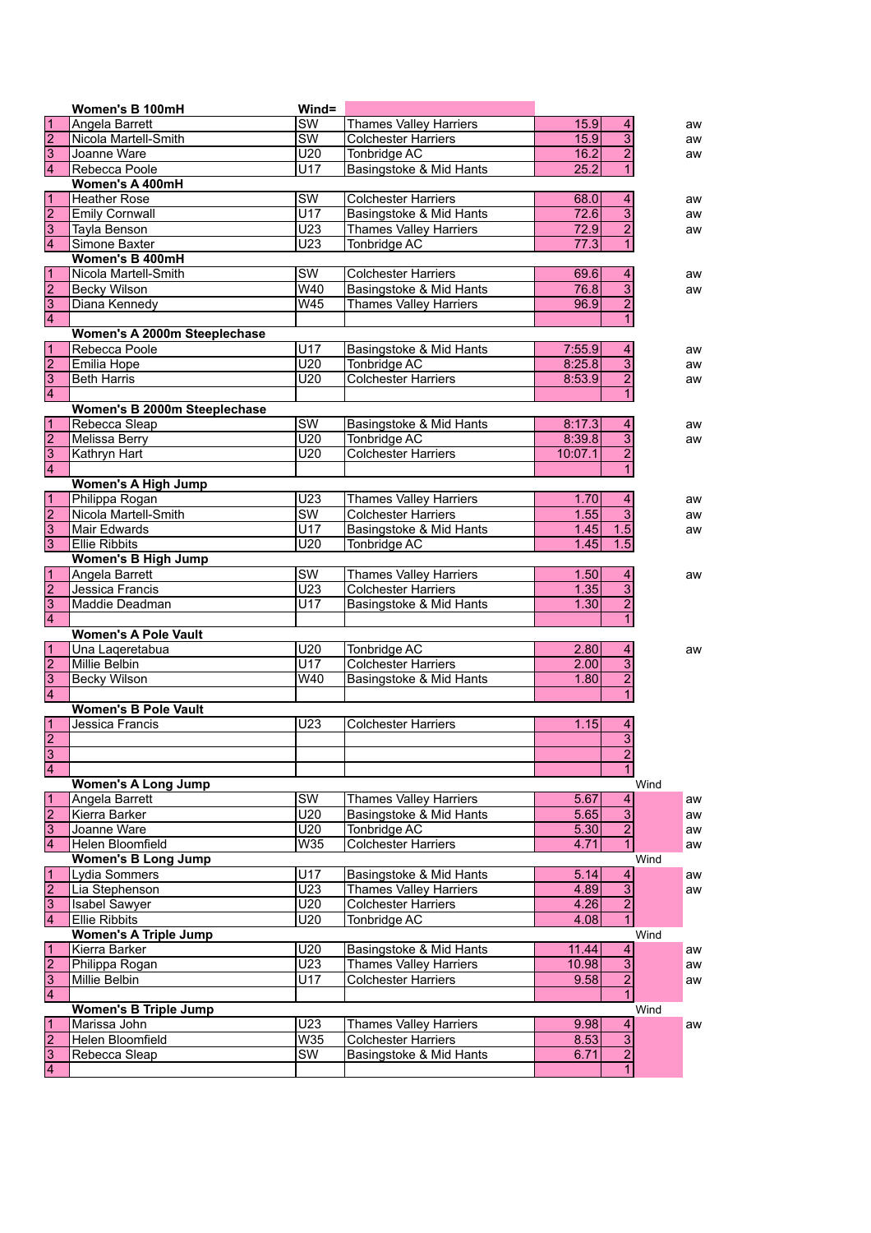|                                           | Women's B 100mH              | Wind=                                     |                               |         |                           |      |
|-------------------------------------------|------------------------------|-------------------------------------------|-------------------------------|---------|---------------------------|------|
|                                           | Angela Barrett               | $\overline{\text{SW}}$                    | <b>Thames Valley Harriers</b> | 15.9    | 4                         | aw   |
|                                           | Nicola Martell-Smith         | $\overline{\text{sw}}$                    | <b>Colchester Harriers</b>    | 15.9    | $\overline{3}$            | aw   |
| $\frac{1}{2}$ $\frac{1}{3}$               | Joanne Ware                  | U20                                       | Tonbridge AC                  | 16.2    | $\overline{2}$            | aw   |
|                                           | Rebecca Poole                | U17                                       | Basingstoke & Mid Hants       | 25.2    | $\overline{1}$            |      |
|                                           | Women's A 400mH              |                                           |                               |         |                           |      |
| $\frac{1}{2}$ $\frac{2}{3}$               | <b>Heather Rose</b>          | $\overline{\text{SW}}$                    | <b>Colchester Harriers</b>    | 68.0    | 4                         | aw   |
|                                           | <b>Emily Cornwall</b>        | $\overline{U17}$                          | Basingstoke & Mid Hants       | 72.6    | $\overline{3}$            | aw   |
|                                           | Tayla Benson                 | U <sub>23</sub>                           | <b>Thames Valley Harriers</b> | 72.9    | $\overline{2}$            | aw   |
|                                           | Simone Baxter                | $\overline{U23}$                          | <b>Tonbridge AC</b>           | 77.3    | $\overline{1}$            |      |
|                                           | Women's B 400mH              |                                           |                               |         |                           |      |
|                                           | Nicola Martell-Smith         | $\overline{\text{SW}}$                    | <b>Colchester Harriers</b>    | 69.6    | 4                         | aw   |
|                                           | <b>Becky Wilson</b>          | W40                                       | Basingstoke & Mid Hants       | 76.8    | $\overline{3}$            | aw   |
| $\frac{1}{2}$ $\frac{2}{3}$ $\frac{3}{4}$ | Diana Kennedy                | W45                                       | <b>Thames Valley Harriers</b> | 96.9    | $\overline{2}$            |      |
|                                           |                              |                                           |                               |         | $\mathbf{1}$              |      |
|                                           | Women's A 2000m Steeplechase |                                           |                               |         |                           |      |
|                                           | Rebecca Poole                | U17                                       | Basingstoke & Mid Hants       | 7:55.9  | $\overline{4}$            | aw   |
|                                           | Emilia Hope                  | $\overline{U20}$                          | <b>Tonbridge AC</b>           | 8:25.8  | $\overline{3}$            | aw   |
|                                           | <b>Beth Harris</b>           | U20                                       | <b>Colchester Harriers</b>    | 8:53.9  | $\overline{2}$            | aw   |
| $\frac{1}{2}$ $\frac{2}{3}$ $\frac{3}{4}$ |                              |                                           |                               |         | $\mathbf{1}$              |      |
|                                           | Women's B 2000m Steeplechase |                                           |                               |         |                           |      |
|                                           | Rebecca Sleap                | $\overline{\text{SW}}$                    | Basingstoke & Mid Hants       | 8:17.3  | 4                         | aw   |
| $\frac{1}{2}$ $\frac{1}{3}$ $\frac{1}{4}$ | <b>Melissa Berry</b>         | $\overline{U20}$                          | <b>Tonbridge AC</b>           | 8:39.8  | $\overline{3}$            | aw   |
|                                           | Kathryn Hart                 | U20                                       | <b>Colchester Harriers</b>    | 10:07.1 | $\overline{2}$            |      |
|                                           |                              |                                           |                               |         | $\mathbf{1}$              |      |
|                                           |                              |                                           |                               |         |                           |      |
|                                           | <b>Women's A High Jump</b>   |                                           |                               |         |                           |      |
| $\frac{1}{2}$ $\frac{2}{3}$               | Philippa Rogan               | U <sub>23</sub><br>$\overline{\text{SW}}$ | <b>Thames Valley Harriers</b> | 1.70    | 4<br>$\overline{3}$       | aw   |
|                                           | Nicola Martell-Smith         |                                           | <b>Colchester Harriers</b>    | 1.55    |                           | aw   |
|                                           | Mair Edwards                 | U17                                       | Basingstoke & Mid Hants       | 1.45    | 1.5                       | aw   |
|                                           | <b>Ellie Ribbits</b>         | U20                                       | Tonbridge AC                  | 1.45    | 1.5                       |      |
|                                           | <b>Women's B High Jump</b>   |                                           |                               |         |                           |      |
| $\frac{1}{2}$ $\frac{2}{3}$ $\frac{3}{4}$ | Angela Barrett               | $\overline{\text{SW}}$                    | <b>Thames Valley Harriers</b> | 1.50    | 4                         | aw   |
|                                           | Jessica Francis              | U23                                       | <b>Colchester Harriers</b>    | 1.35    | $\overline{3}$            |      |
|                                           | Maddie Deadman               | U17                                       | Basingstoke & Mid Hants       | 1.30    | $\overline{2}$            |      |
|                                           |                              |                                           |                               |         | $\overline{1}$            |      |
|                                           | <b>Women's A Pole Vault</b>  |                                           |                               |         |                           |      |
|                                           | Una Laqeretabua              | U20                                       | Tonbridge AC                  | 2.80    | 4                         | aw   |
|                                           | Millie Belbin                | U17                                       | <b>Colchester Harriers</b>    | 2.00    | $\overline{\overline{3}}$ |      |
| $\frac{1}{2}$ $\frac{2}{3}$ $\frac{3}{4}$ | Becky Wilson                 | W40                                       | Basingstoke & Mid Hants       | 1.80    | $\overline{2}$            |      |
|                                           |                              |                                           |                               |         | $\mathbf{1}$              |      |
|                                           | <b>Women's B Pole Vault</b>  |                                           |                               |         |                           |      |
|                                           | Jessica Francis              | U23                                       | <b>Colchester Harriers</b>    | 1.15    | 4                         |      |
| $\frac{1}{2}$                             |                              |                                           |                               |         | $\overline{3}$            |      |
|                                           |                              |                                           |                               |         | $\overline{2}$            |      |
| $\overline{4}$                            |                              |                                           |                               |         | $\overline{1}$            |      |
|                                           | <b>Women's A Long Jump</b>   |                                           |                               |         |                           | Wind |
| $\frac{1}{2}$ $\frac{2}{3}$               | Angela Barrett               | $\overline{\text{SW}}$                    | <b>Thames Valley Harriers</b> | 5.67    | $\overline{a}$            | aw   |
|                                           | Kierra Barker                | U20                                       | Basingstoke & Mid Hants       | 5.65    | $\overline{3}$            | aw   |
|                                           | Joanne Ware                  | U20                                       | Tonbridge AC                  | 5.30    | $\overline{2}$            | aw   |
|                                           | Helen Bloomfield             | W35                                       | <b>Colchester Harriers</b>    | 4.71    | 1                         | aw   |
|                                           | <b>Women's B Long Jump</b>   |                                           |                               |         |                           | Wind |
|                                           | Lydia Sommers                | U17                                       | Basingstoke & Mid Hants       | 5.14    | $\overline{\mathbf{4}}$   | aw   |
|                                           | Lia Stephenson               | U <sub>23</sub>                           | Thames Valley Harriers        | 4.89    | $\overline{3}$            | aw   |
|                                           | Isabel Sawyer                | U20                                       | <b>Colchester Harriers</b>    | 4.26    | $\overline{2}$            |      |
| $\frac{1}{2}$ $\frac{1}{3}$               | <b>Ellie Ribbits</b>         | U20                                       | Tonbridge AC                  | 4.08    | $\overline{1}$            |      |
|                                           | <b>Women's A Triple Jump</b> |                                           |                               |         |                           | Wind |
|                                           | Kierra Barker                | U20                                       | Basingstoke & Mid Hants       | 11.44   | $\overline{a}$            | aw   |
|                                           | Philippa Rogan               | U <sub>23</sub>                           | Thames Valley Harriers        | 10.98   | $\overline{3}$            | aw   |
|                                           | Millie Belbin                | U17                                       | <b>Colchester Harriers</b>    | 9.58    | $\overline{2}$            | aw   |
| $\frac{1}{2}$ $\frac{2}{3}$ $\frac{1}{4}$ |                              |                                           |                               |         | $\overline{1}$            |      |
|                                           | <b>Women's B Triple Jump</b> |                                           |                               |         |                           | Wind |
|                                           | Marissa John                 | U23                                       | <b>Thames Valley Harriers</b> | 9.98    | $\overline{\mathbf{4}}$   | aw   |
|                                           | Helen Bloomfield             | W35                                       | <b>Colchester Harriers</b>    | 8.53    | 3                         |      |
|                                           | Rebecca Sleap                | SW                                        | Basingstoke & Mid Hants       | 6.71    | $\overline{2}$            |      |
| $\frac{1}{2}$ $\frac{2}{3}$ $\frac{3}{4}$ |                              |                                           |                               |         | $\overline{1}$            |      |
|                                           |                              |                                           |                               |         |                           |      |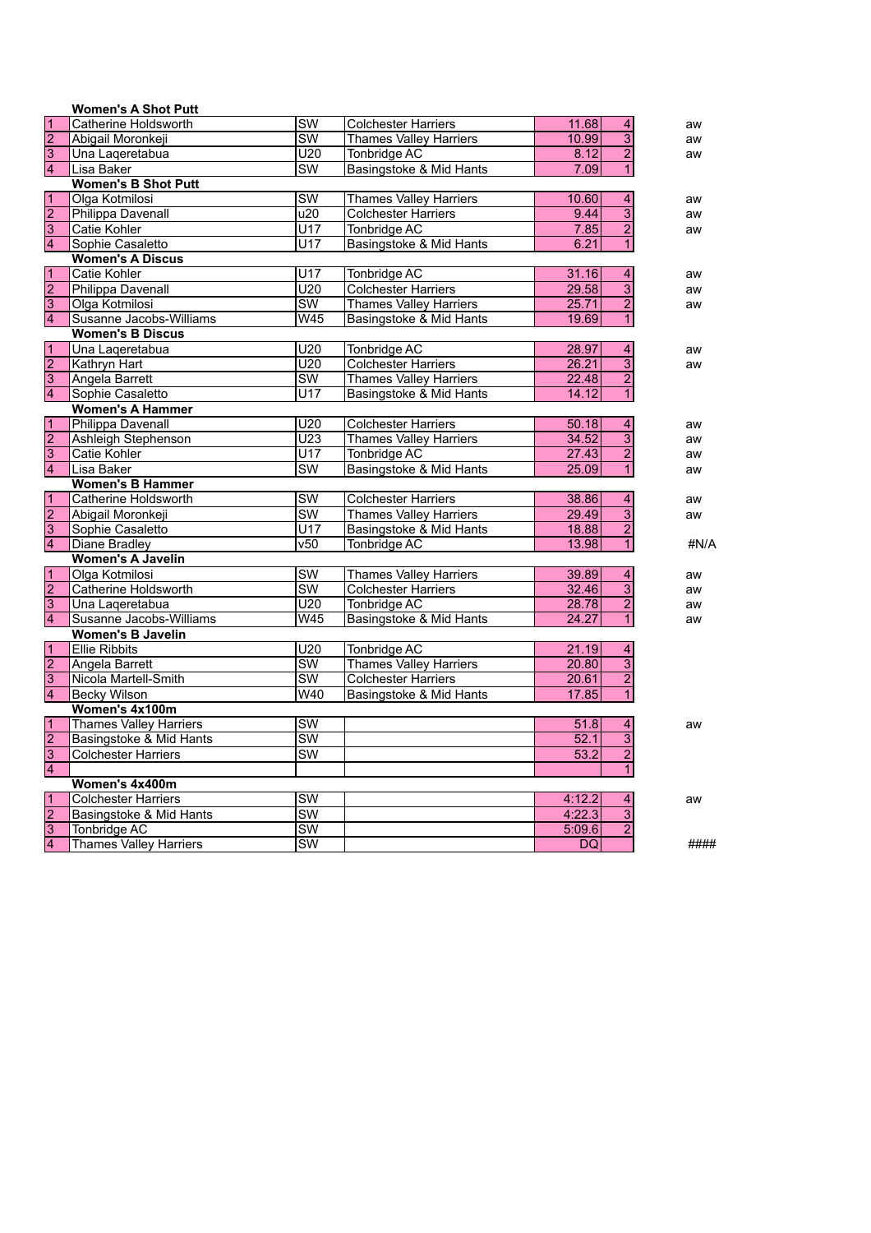|                           | <b>Women's A Shot Putt</b>    |                          |                               |                                    |      |
|---------------------------|-------------------------------|--------------------------|-------------------------------|------------------------------------|------|
| 1                         | Catherine Holdsworth          | $\overline{\text{sw}}$   | <b>Colchester Harriers</b>    | 11.68<br>4                         | aw   |
| $\overline{2}$            | Abigail Moronkeji             | $\overline{\text{sw}}$   | <b>Thames Valley Harriers</b> | $\overline{3}$<br>10.99            | aw   |
| $\overline{3}$            | Una Lageretabua               | U20                      | Tonbridge AC                  | $\overline{2}$<br>8.12             | aw   |
| 4                         | Lisa Baker                    | $\overline{\text{SW}}$   | Basingstoke & Mid Hants       | $\overline{1}$<br>7.09             |      |
|                           | <b>Women's B Shot Putt</b>    |                          |                               |                                    |      |
| 1                         | Olga Kotmilosi                | <b>SW</b>                | <b>Thames Valley Harriers</b> | 10.60<br>$\overline{\mathbf{4}}$   | aw   |
| $\overline{2}$            | Philippa Davenall             | $\overline{u20}$         | <b>Colchester Harriers</b>    | $\overline{\overline{3}}$<br>9.44  | aw   |
| $\overline{3}$            | Catie Kohler                  | $\overline{U17}$         | Tonbridge AC                  | $\overline{2}$<br>7.85             | aw   |
| 4                         | Sophie Casaletto              | U17                      | Basingstoke & Mid Hants       | $\overline{1}$<br>6.21             |      |
|                           | <b>Women's A Discus</b>       |                          |                               |                                    |      |
| 1                         | Catie Kohler                  | $\overline{U17}$         | Tonbridge AC                  | 31.16<br>4                         | aw   |
| $\overline{2}$            | Philippa Davenall             | U20                      | <b>Colchester Harriers</b>    | $\overline{3}$<br>29.58            | aw   |
| $\overline{3}$            | Olga Kotmilosi                | $\overline{\text{sw}}$   | <b>Thames Valley Harriers</b> | $\overline{2}$<br>25.71            | aw   |
| $\overline{4}$            | Susanne Jacobs-Williams       | W45                      | Basingstoke & Mid Hants       | 19.69<br>$\mathbf{1}$              |      |
|                           | <b>Women's B Discus</b>       |                          |                               |                                    |      |
| 1                         | Una Lageretabua               | U20                      | Tonbridge AC                  | 28.97<br>4                         | aw   |
| $\overline{2}$            | Kathryn Hart                  | $\overline{U20}$         | <b>Colchester Harriers</b>    | $\overline{3}$<br>26.21            | aw   |
| $\overline{3}$            | Angela Barrett                | $\overline{\text{SW}}$   | <b>Thames Valley Harriers</b> | $\overline{2}$<br>22.48            |      |
| $\overline{4}$            | Sophie Casaletto              | U17                      | Basingstoke & Mid Hants       | 14.12<br>$\mathbf{1}$              |      |
|                           | <b>Women's A Hammer</b>       |                          |                               |                                    |      |
| $\overline{1}$            | Philippa Davenall             | U20                      | <b>Colchester Harriers</b>    | 50.18<br>$\overline{\mathbf{4}}$   | aw   |
| $\overline{2}$            | Ashleigh Stephenson           | $\overline{U23}$         | <b>Thames Valley Harriers</b> | $\overline{\overline{3}}$<br>34.52 | aw   |
| $\overline{3}$            | Catie Kohler                  | U17                      | Tonbridge AC                  | $\overline{2}$<br>27.43            | aw   |
| $\overline{4}$            | Lisa Baker                    | SW                       | Basingstoke & Mid Hants       | $\mathbf{1}$<br>25.09              | aw   |
|                           | <b>Women's B Hammer</b>       |                          |                               |                                    |      |
| $\mathbf{1}$              | Catherine Holdsworth          | $\overline{\text{SW}}$   | <b>Colchester Harriers</b>    | 38.86<br>$\overline{\mathbf{4}}$   | aw   |
| $\overline{2}$            | Abigail Moronkeji             | $\overline{\text{SW}}$   | <b>Thames Valley Harriers</b> | $\overline{3}$<br>29.49            | aw   |
| $\overline{3}$            | Sophie Casaletto              | $\overline{U17}$         | Basingstoke & Mid Hants       | $\overline{2}$<br>18.88            |      |
| $\overline{4}$            | <b>Diane Bradley</b>          | $\overline{v50}$         | <b>Tonbridge AC</b>           | $\overline{1}$<br>13.98            | #N/A |
|                           | <b>Women's A Javelin</b>      |                          |                               |                                    |      |
| $\mathbf{1}$              | Olga Kotmilosi                | $\overline{\text{sw}}$   | <b>Thames Valley Harriers</b> | 39.89<br>4                         | aw   |
| $\frac{2}{3}$             | Catherine Holdsworth          | $\overline{\mathsf{sw}}$ | <b>Colchester Harriers</b>    | $\overline{3}$<br>32.46            | aw   |
|                           | Una Laqeretabua               | U20                      | Tonbridge AC                  | $\overline{2}$<br>28.78            | aw   |
| 4                         | Susanne Jacobs-Williams       | $\overline{W45}$         | Basingstoke & Mid Hants       | 24.27<br>$\mathbf{1}$              | aw   |
|                           | <b>Women's B Javelin</b>      |                          |                               |                                    |      |
| $\overline{1}$            | <b>Ellie Ribbits</b>          | U20                      | Tonbridge AC                  | 21.19<br>$\overline{4}$            |      |
| $\overline{2}$            | Angela Barrett                | $\overline{\text{SW}}$   | Thames Valley Harriers        | $\overline{3}$<br>20.80            |      |
| $\overline{3}$            | Nicola Martell-Smith          | $\overline{\text{sw}}$   | <b>Colchester Harriers</b>    | $\overline{2}$<br>20.61            |      |
| 4                         | <b>Becky Wilson</b>           | W40                      | Basingstoke & Mid Hants       | $\overline{1}$<br>17.85            |      |
|                           | Women's 4x100m                |                          |                               |                                    |      |
| $\overline{1}$            | <b>Thames Valley Harriers</b> | $\overline{\text{SW}}$   |                               | 51.8<br>$\overline{4}$             | aw   |
| $\overline{2}$            | Basingstoke & Mid Hants       | $\overline{\text{SW}}$   |                               | $\overline{3}$<br>52.1             |      |
| $\overline{\overline{3}}$ | <b>Colchester Harriers</b>    | $\overline{\text{sw}}$   |                               | $\overline{2}$<br>53.2             |      |
| $\overline{4}$            |                               |                          |                               | $\overline{1}$                     |      |
|                           | Women's 4x400m                |                          |                               |                                    |      |
| $\mathbf{1}$              | <b>Colchester Harriers</b>    | <b>SW</b>                |                               | 4:12.2<br>4                        | aw   |
| $\overline{2}$            | Basingstoke & Mid Hants       | $\overline{\text{sw}}$   |                               | $\overline{3}$<br>4:22.3           |      |
| $\overline{3}$            | Tonbridge AC                  | $\overline{\text{sw}}$   |                               | $\overline{2}$<br>5:09.6           |      |
| $\overline{4}$            | <b>Thames Valley Harriers</b> | $\overline{\text{sw}}$   |                               | DQ                                 | #### |